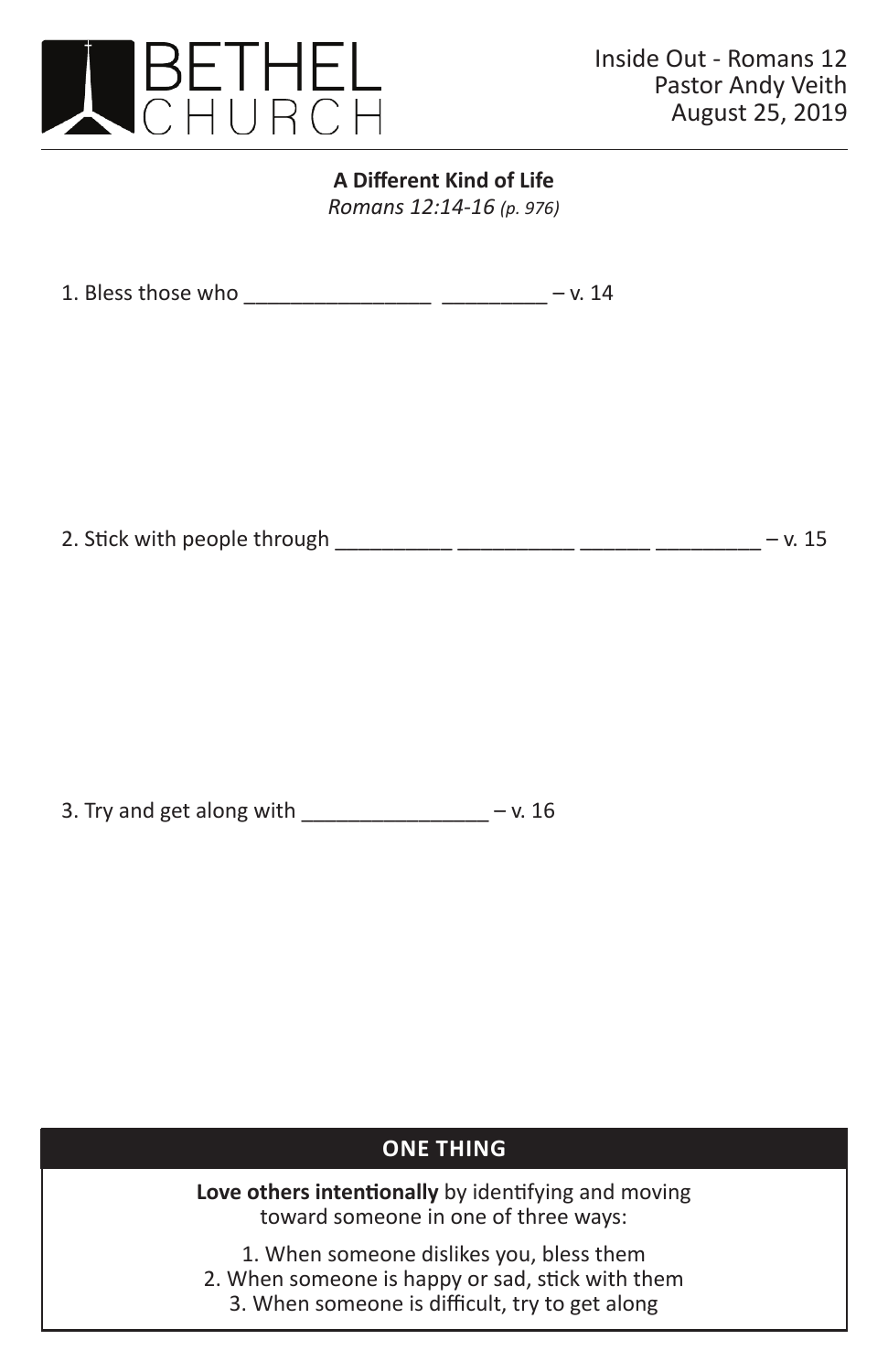

## **A Different Kind of Life** *Romans 12:14-16 (p. 976)*

1. Bless those who \_\_\_\_\_\_\_\_\_\_\_\_\_\_\_\_\_\_\_\_\_\_\_ \_\_\_\_\_\_\_\_\_ - v. 14

2. Stick with people through \_\_\_\_\_\_\_\_\_\_ \_\_\_\_\_\_\_\_\_ \_\_\_\_\_\_ \_\_\_\_\_\_ - v. 15

3. Try and get along with  $\frac{1}{2}$  \_\_\_\_\_\_\_\_\_\_\_\_\_\_\_\_\_\_\_\_\_ – v. 16

## **ONE THING**

**Love others intentionally** by identifying and moving toward someone in one of three ways:

1. When someone dislikes you, bless them 2. When someone is happy or sad, stick with them

3. When someone is difficult, try to get along